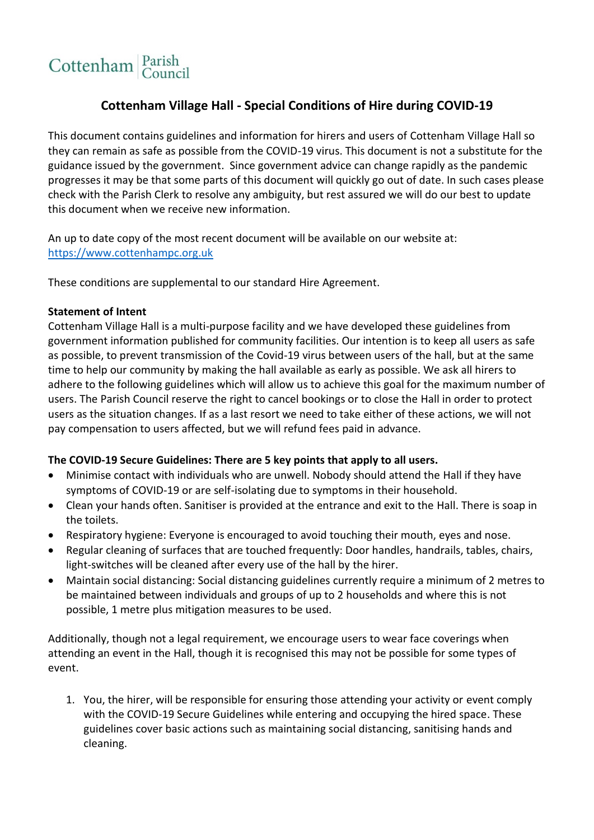# Cottenham Parish

## **Cottenham Village Hall - Special Conditions of Hire during COVID-19**

This document contains guidelines and information for hirers and users of Cottenham Village Hall so they can remain as safe as possible from the COVID-19 virus. This document is not a substitute for the guidance issued by the government. Since government advice can change rapidly as the pandemic progresses it may be that some parts of this document will quickly go out of date. In such cases please check with the Parish Clerk to resolve any ambiguity, but rest assured we will do our best to update this document when we receive new information.

An up to date copy of the most recent document will be available on our website at: [https://www.cottenhampc.org.uk](https://www.cottenhampc.org.uk/)

These conditions are supplemental to our standard Hire Agreement.

### **Statement of Intent**

Cottenham Village Hall is a multi-purpose facility and we have developed these guidelines from government information published for community facilities. Our intention is to keep all users as safe as possible, to prevent transmission of the Covid-19 virus between users of the hall, but at the same time to help our community by making the hall available as early as possible. We ask all hirers to adhere to the following guidelines which will allow us to achieve this goal for the maximum number of users. The Parish Council reserve the right to cancel bookings or to close the Hall in order to protect users as the situation changes. If as a last resort we need to take either of these actions, we will not pay compensation to users affected, but we will refund fees paid in advance.

### **The COVID-19 Secure Guidelines: There are 5 key points that apply to all users.**

- Minimise contact with individuals who are unwell. Nobody should attend the Hall if they have symptoms of COVID-19 or are self-isolating due to symptoms in their household.
- Clean your hands often. Sanitiser is provided at the entrance and exit to the Hall. There is soap in the toilets.
- Respiratory hygiene: Everyone is encouraged to avoid touching their mouth, eyes and nose.
- Regular cleaning of surfaces that are touched frequently: Door handles, handrails, tables, chairs, light-switches will be cleaned after every use of the hall by the hirer.
- Maintain social distancing: Social distancing guidelines currently require a minimum of 2 metres to be maintained between individuals and groups of up to 2 households and where this is not possible, 1 metre plus mitigation measures to be used.

Additionally, though not a legal requirement, we encourage users to wear face coverings when attending an event in the Hall, though it is recognised this may not be possible for some types of event.

1. You, the hirer, will be responsible for ensuring those attending your activity or event comply with the COVID-19 Secure Guidelines while entering and occupying the hired space. These guidelines cover basic actions such as maintaining social distancing, sanitising hands and cleaning.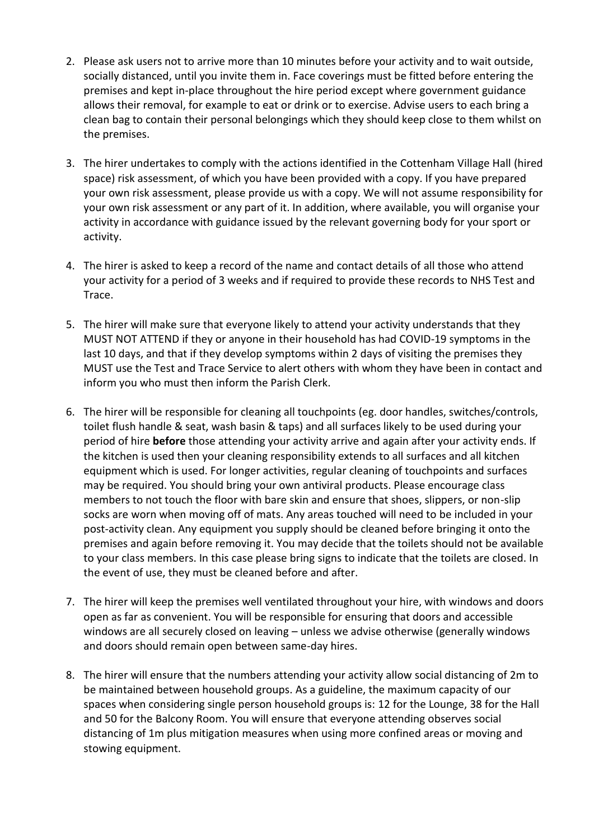- 2. Please ask users not to arrive more than 10 minutes before your activity and to wait outside, socially distanced, until you invite them in. Face coverings must be fitted before entering the premises and kept in-place throughout the hire period except where government guidance allows their removal, for example to eat or drink or to exercise. Advise users to each bring a clean bag to contain their personal belongings which they should keep close to them whilst on the premises.
- 3. The hirer undertakes to comply with the actions identified in the Cottenham Village Hall (hired space) risk assessment, of which you have been provided with a copy. If you have prepared your own risk assessment, please provide us with a copy. We will not assume responsibility for your own risk assessment or any part of it. In addition, where available, you will organise your activity in accordance with guidance issued by the relevant governing body for your sport or activity.
- 4. The hirer is asked to keep a record of the name and contact details of all those who attend your activity for a period of 3 weeks and if required to provide these records to NHS Test and Trace.
- 5. The hirer will make sure that everyone likely to attend your activity understands that they MUST NOT ATTEND if they or anyone in their household has had COVID-19 symptoms in the last 10 days, and that if they develop symptoms within 2 days of visiting the premises they MUST use the Test and Trace Service to alert others with whom they have been in contact and inform you who must then inform the Parish Clerk.
- 6. The hirer will be responsible for cleaning all touchpoints (eg. door handles, switches/controls, toilet flush handle & seat, wash basin & taps) and all surfaces likely to be used during your period of hire **before** those attending your activity arrive and again after your activity ends. If the kitchen is used then your cleaning responsibility extends to all surfaces and all kitchen equipment which is used. For longer activities, regular cleaning of touchpoints and surfaces may be required. You should bring your own antiviral products. Please encourage class members to not touch the floor with bare skin and ensure that shoes, slippers, or non-slip socks are worn when moving off of mats. Any areas touched will need to be included in your post-activity clean. Any equipment you supply should be cleaned before bringing it onto the premises and again before removing it. You may decide that the toilets should not be available to your class members. In this case please bring signs to indicate that the toilets are closed. In the event of use, they must be cleaned before and after.
- 7. The hirer will keep the premises well ventilated throughout your hire, with windows and doors open as far as convenient. You will be responsible for ensuring that doors and accessible windows are all securely closed on leaving – unless we advise otherwise (generally windows and doors should remain open between same-day hires.
- 8. The hirer will ensure that the numbers attending your activity allow social distancing of 2m to be maintained between household groups. As a guideline, the maximum capacity of our spaces when considering single person household groups is: 12 for the Lounge, 38 for the Hall and 50 for the Balcony Room. You will ensure that everyone attending observes social distancing of 1m plus mitigation measures when using more confined areas or moving and stowing equipment.